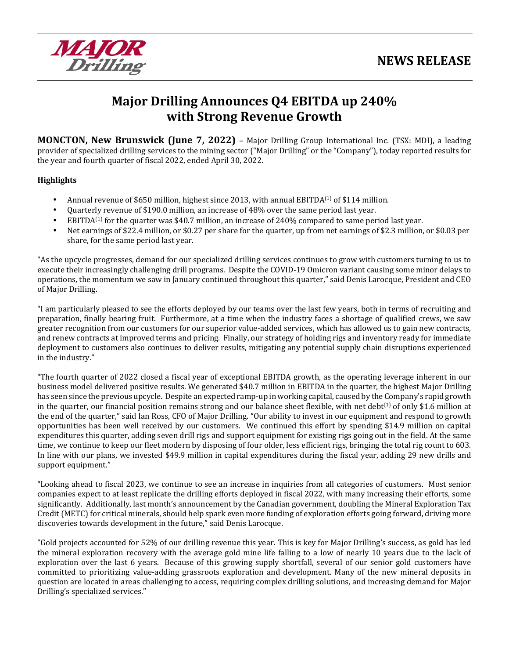

# **Major Drilling Announces Q4 EBITDA up 240% with Strong Revenue Growth**

**MONCTON, New Brunswick (June 7, 2022)** – Major Drilling Group International Inc. (TSX: MDI), a leading provider of specialized drilling services to the mining sector ("Major Drilling" or the "Company"), today reported results for the year and fourth quarter of fiscal 2022, ended April 30, 2022.

### **Highlights**

- Annual revenue of \$650 million, highest since 2013, with annual EBITDA<sup>(1)</sup> of \$114 million.
- Quarterly revenue of \$190.0 million, an increase of 48% over the same period last year.
- EBITDA<sup>(1)</sup> for the quarter was \$40.7 million, an increase of 240% compared to same period last year.
- Net earnings of \$22.4 million, or \$0.27 per share for the quarter, up from net earnings of \$2.3 million, or \$0.03 per share, for the same period last year.

"As the upcycle progresses, demand for our specialized drilling services continues to grow with customers turning to us to execute their increasingly challenging drill programs. Despite the COVID-19 Omicron variant causing some minor delays to operations, the momentum we saw in January continued throughout this quarter," said Denis Larocque, President and CEO of Major Drilling.

"I am particularly pleased to see the efforts deployed by our teams over the last few years, both in terms of recruiting and preparation, finally bearing fruit. Furthermore, at a time when the industry faces a shortage of qualified crews, we saw greater recognition from our customers for our superior value-added services, which has allowed us to gain new contracts, and renew contracts at improved terms and pricing. Finally, our strategy of holding rigs and inventory ready for immediate deployment to customers also continues to deliver results, mitigating any potential supply chain disruptions experienced in the industry."

"The fourth quarter of 2022 closed a fiscal year of exceptional EBITDA growth, as the operating leverage inherent in our business model delivered positive results. We generated \$40.7 million in EBITDA in the quarter, the highest Major Drilling has seen since the previous upcycle. Despite an expected ramp-up in working capital, caused by the Company's rapid growth in the quarter, our financial position remains strong and our balance sheet flexible, with net debt<sup>(1)</sup> of only \$1.6 million at the end of the quarter," said Ian Ross, CFO of Major Drilling. "Our ability to invest in our equipment and respond to growth opportunities has been well received by our customers. We continued this effort by spending \$14.9 million on capital expenditures this quarter, adding seven drill rigs and support equipment for existing rigs going out in the field. At the same time, we continue to keep our fleet modern by disposing of four older, less efficient rigs, bringing the total rig count to 603. In line with our plans, we invested \$49.9 million in capital expenditures during the fiscal year, adding 29 new drills and support equipment."

"Looking ahead to fiscal 2023, we continue to see an increase in inquiries from all categories of customers. Most senior companies expect to at least replicate the drilling efforts deployed in fiscal 2022, with many increasing their efforts, some significantly. Additionally, last month's announcement by the Canadian government, doubling the Mineral Exploration Tax Credit (METC) for critical minerals, should help spark even more funding of exploration efforts going forward, driving more discoveries towards development in the future," said Denis Larocque.

"Gold projects accounted for 52% of our drilling revenue this year. This is key for Major Drilling's success, as gold has led the mineral exploration recovery with the average gold mine life falling to a low of nearly 10 years due to the lack of exploration over the last 6 years. Because of this growing supply shortfall, several of our senior gold customers have committed to prioritizing value-adding grassroots exploration and development. Many of the new mineral deposits in question are located in areas challenging to access, requiring complex drilling solutions, and increasing demand for Major Drilling's specialized services."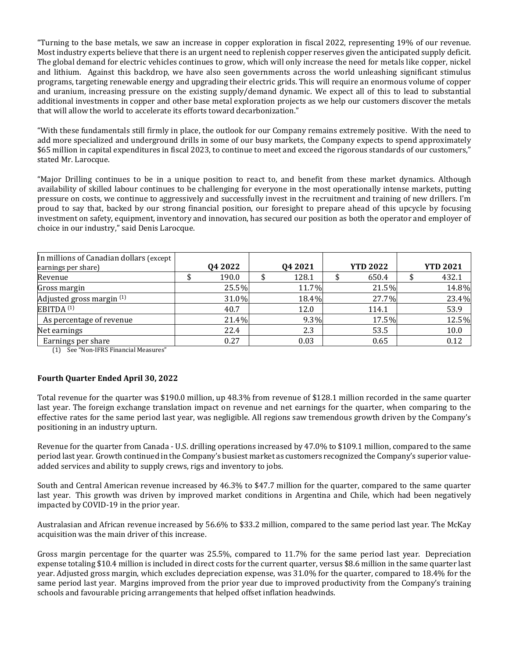"Turning to the base metals, we saw an increase in copper exploration in fiscal 2022, representing 19% of our revenue. Most industry experts believe that there is an urgent need to replenish copper reserves given the anticipated supply deficit. The global demand for electric vehicles continues to grow, which will only increase the need for metals like copper, nickel and lithium. Against this backdrop, we have also seen governments across the world unleashing significant stimulus programs, targeting renewable energy and upgrading their electric grids. This will require an enormous volume of copper and uranium, increasing pressure on the existing supply/demand dynamic. We expect all of this to lead to substantial additional investments in copper and other base metal exploration projects as we help our customers discover the metals that will allow the world to accelerate its efforts toward decarbonization."

"With these fundamentals still firmly in place, the outlook for our Company remains extremely positive. With the need to add more specialized and underground drills in some of our busy markets, the Company expects to spend approximately \$65 million in capital expenditures in fiscal 2023, to continue to meet and exceed the rigorous standards of our customers," stated Mr. Larocque.

"Major Drilling continues to be in a unique position to react to, and benefit from these market dynamics. Although availability of skilled labour continues to be challenging for everyone in the most operationally intense markets, putting pressure on costs, we continue to aggressively and successfully invest in the recruitment and training of new drillers. I'm proud to say that, backed by our strong financial position, our foresight to prepare ahead of this upcycle by focusing investment on safety, equipment, inventory and innovation, has secured our position as both the operator and employer of choice in our industry," said Denis Larocque.

| In millions of Canadian dollars (except<br>earnings per share) | Q4 2022 | Q4 2021 | <b>YTD 2022</b> | <b>YTD 2021</b> |
|----------------------------------------------------------------|---------|---------|-----------------|-----------------|
| Revenue                                                        | 190.0   | 128.1   | 650.4           | 432.1           |
| Gross margin                                                   | 25.5%   | 11.7%   | 21.5%           | 14.8%           |
| Adjusted gross margin (1)                                      | 31.0%   | 18.4%   | 27.7%           | 23.4%           |
| EBITDA <sup>(1)</sup>                                          | 40.7    | 12.0    | 114.1           | 53.9            |
| As percentage of revenue                                       | 21.4%   | $9.3\%$ | 17.5%           | 12.5%           |
| Net earnings                                                   | 22.4    | 2.3     | 53.5            | 10.0            |
| Earnings per share                                             | 0.27    | 0.03    | 0.65            | 0.12            |

(1) See "Non-IFRS Financial Measures"

#### **Fourth Quarter Ended April 30, 2022**

Total revenue for the quarter was \$190.0 million, up 48.3% from revenue of \$128.1 million recorded in the same quarter last year. The foreign exchange translation impact on revenue and net earnings for the quarter, when comparing to the effective rates for the same period last year, was negligible. All regions saw tremendous growth driven by the Company's positioning in an industry upturn.

Revenue for the quarter from Canada - U.S. drilling operations increased by 47.0% to \$109.1 million, compared to the same period last year. Growth continued in the Company's busiest market as customers recognized the Company's superior valueadded services and ability to supply crews, rigs and inventory to jobs.

South and Central American revenue increased by 46.3% to \$47.7 million for the quarter, compared to the same quarter last year. This growth was driven by improved market conditions in Argentina and Chile, which had been negatively impacted by COVID-19 in the prior year.

Australasian and African revenue increased by 56.6% to \$33.2 million, compared to the same period last year. The McKay acquisition was the main driver of this increase.

Gross margin percentage for the quarter was 25.5%, compared to 11.7% for the same period last year. Depreciation expense totaling \$10.4 million is included in direct costs for the current quarter, versus \$8.6 million in the same quarter last year. Adjusted gross margin, which excludes depreciation expense, was 31.0% for the quarter, compared to 18.4% for the same period last year. Margins improved from the prior year due to improved productivity from the Company's training schools and favourable pricing arrangements that helped offset inflation headwinds.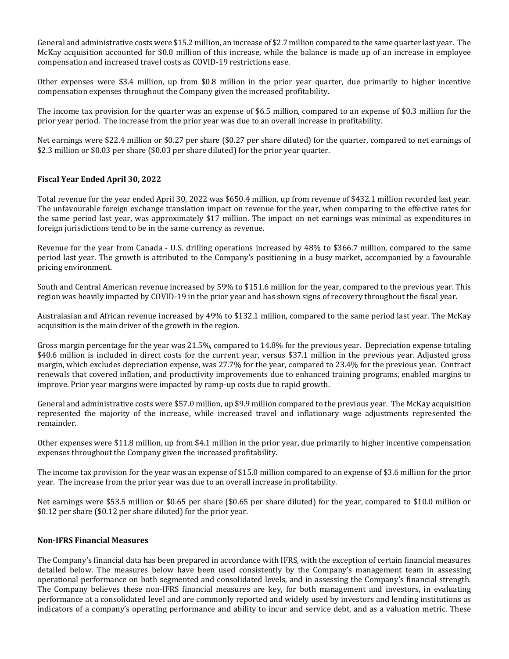General and administrative costs were \$15.2 million, an increase of \$2.7 million compared to the same quarter last year. The McKay acquisition accounted for \$0.8 million of this increase, while the balance is made up of an increase in employee compensation and increased travel costs as COVID-19 restrictions ease.

Other expenses were \$3.4 million, up from \$0.8 million in the prior year quarter, due primarily to higher incentive compensation expenses throughout the Company given the increased profitability.

The income tax provision for the quarter was an expense of \$6.5 million, compared to an expense of \$0.3 million for the prior year period. The increase from the prior year was due to an overall increase in profitability.

Net earnings were \$22.4 million or \$0.27 per share (\$0.27 per share diluted) for the quarter, compared to net earnings of \$2.3 million or \$0.03 per share (\$0.03 per share diluted) for the prior year quarter.

#### **Fiscal Year Ended April 30, 2022**

Total revenue for the year ended April 30, 2022 was \$650.4 million, up from revenue of \$432.1 million recorded last year. The unfavourable foreign exchange translation impact on revenue for the year, when comparing to the effective rates for the same period last year, was approximately \$17 million. The impact on net earnings was minimal as expenditures in foreign jurisdictions tend to be in the same currency as revenue.

Revenue for the year from Canada - U.S. drilling operations increased by 48% to \$366.7 million, compared to the same period last year. The growth is attributed to the Company's positioning in a busy market, accompanied by a favourable pricing environment.

South and Central American revenue increased by 59% to \$151.6 million for the year, compared to the previous year. This region was heavily impacted by COVID-19 in the prior year and has shown signs of recovery throughout the fiscal year.

Australasian and African revenue increased by 49% to \$132.1 million, compared to the same period last year. The McKay acquisition is the main driver of the growth in the region.

Gross margin percentage for the year was 21.5%, compared to 14.8% for the previous year. Depreciation expense totaling \$40.6 million is included in direct costs for the current year, versus \$37.1 million in the previous year. Adjusted gross margin, which excludes depreciation expense, was 27.7% for the year, compared to 23.4% for the previous year. Contract renewals that covered inflation, and productivity improvements due to enhanced training programs, enabled margins to improve. Prior year margins were impacted by ramp-up costs due to rapid growth.

General and administrative costs were \$57.0 million, up \$9.9 million compared to the previous year. The McKay acquisition represented the majority of the increase, while increased travel and inflationary wage adjustments represented the remainder.

Other expenses were \$11.8 million, up from \$4.1 million in the prior year, due primarily to higher incentive compensation expenses throughout the Company given the increased profitability.

The income tax provision for the year was an expense of \$15.0 million compared to an expense of \$3.6 million for the prior year. The increase from the prior year was due to an overall increase in profitability.

Net earnings were \$53.5 million or \$0.65 per share (\$0.65 per share diluted) for the year, compared to \$10.0 million or \$0.12 per share (\$0.12 per share diluted) for the prior year.

#### **Non-IFRS Financial Measures**

The Company's financial data has been prepared in accordance with IFRS, with the exception of certain financial measures detailed below. The measures below have been used consistently by the Company's management team in assessing operational performance on both segmented and consolidated levels, and in assessing the Company's financial strength. The Company believes these non-IFRS financial measures are key, for both management and investors, in evaluating performance at a consolidated level and are commonly reported and widely used by investors and lending institutions as indicators of a company's operating performance and ability to incur and service debt, and as a valuation metric. These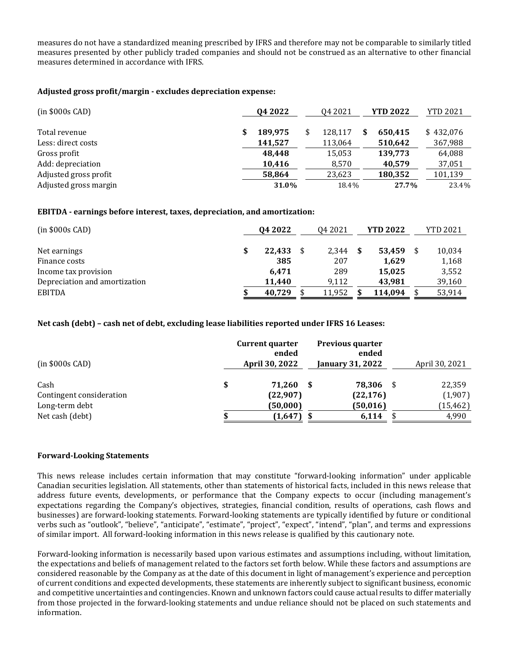measures do not have a standardized meaning prescribed by IFRS and therefore may not be comparable to similarly titled measures presented by other publicly traded companies and should not be construed as an alternative to other financial measures determined in accordance with IFRS.

### **Adjusted gross profit/margin - excludes depreciation expense:**

| $(in $000s$ CAD)      | Q4 2022 | Q4 2021 | <b>YTD 2022</b> | <b>YTD 2021</b> |
|-----------------------|---------|---------|-----------------|-----------------|
|                       |         |         |                 |                 |
| Total revenue         | 189,975 | 128.117 | 650.415         | \$432,076       |
| Less: direct costs    | 141,527 | 113,064 | 510,642         | 367,988         |
| Gross profit          | 48.448  | 15,053  | 139,773         | 64,088          |
| Add: depreciation     | 10,416  | 8,570   | 40,579          | 37,051          |
| Adjusted gross profit | 58,864  | 23,623  | 180,352         | 101,139         |
| Adjusted gross margin | 31.0%   | 18.4%   | 27.7%           | 23.4%           |

### **EBITDA - earnings before interest, taxes, depreciation, and amortization:**

| $(in $000s$ CAD)              | Q4 2022      | Q4 2021 |   | <b>YTD 2022</b> | <b>YTD 2021</b> |
|-------------------------------|--------------|---------|---|-----------------|-----------------|
| Net earnings                  | \$<br>22,433 | 2.344   | S | 53.459          | 10,034          |
| Finance costs                 | 385          | 207     |   | 1,629           | 1,168           |
| Income tax provision          | 6.471        | 289     |   | 15.025          | 3,552           |
| Depreciation and amortization | 11.440       | 9.112   |   | 43,981          | 39,160          |
| <b>EBITDA</b>                 | 40,729       | 11,952  |   | 114,094         | 53,914          |

### **Net cash (debt) – cash net of debt, excluding lease liabilities reported under IFRS 16 Leases:**

| $(in $000s$ CAD)                                                      | <b>Current quarter</b><br>ended<br>April 30, 2022 | <b>Previous quarter</b><br>ended<br><b>January 31, 2022</b> |   | April 30, 2021                          |
|-----------------------------------------------------------------------|---------------------------------------------------|-------------------------------------------------------------|---|-----------------------------------------|
| Cash<br>Contingent consideration<br>Long-term debt<br>Net cash (debt) | \$<br>71.260<br>(22,907)<br>(50,000)<br>(1,647)   | 78,306<br>(22, 176)<br>(50, 016)<br>6,114                   | S | 22,359<br>(1,907)<br>(15, 462)<br>4,990 |

#### **Forward-Looking Statements**

This news release includes certain information that may constitute "forward-looking information" under applicable Canadian securities legislation. All statements, other than statements of historical facts, included in this news release that address future events, developments, or performance that the Company expects to occur (including management's expectations regarding the Company's objectives, strategies, financial condition, results of operations, cash flows and businesses) are forward-looking statements. Forward-looking statements are typically identified by future or conditional verbs such as "outlook", "believe", "anticipate", "estimate", "project", "expect", "intend", "plan", and terms and expressions of similar import. All forward-looking information in this news release is qualified by this cautionary note.

Forward-looking information is necessarily based upon various estimates and assumptions including, without limitation, the expectations and beliefs of management related to the factors set forth below. While these factors and assumptions are considered reasonable by the Company as at the date of this document in light of management's experience and perception of current conditions and expected developments, these statements are inherently subject to significant business, economic and competitive uncertainties and contingencies. Known and unknown factors could cause actual results to differ materially from those projected in the forward-looking statements and undue reliance should not be placed on such statements and information.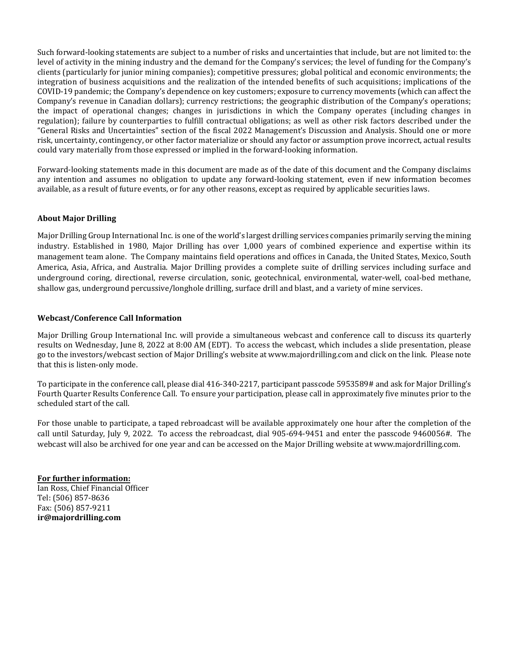Such forward-looking statements are subject to a number of risks and uncertainties that include, but are not limited to: the level of activity in the mining industry and the demand for the Company's services; the level of funding for the Company's clients (particularly for junior mining companies); competitive pressures; global political and economic environments; the integration of business acquisitions and the realization of the intended benefits of such acquisitions; implications of the COVID-19 pandemic; the Company's dependence on key customers; exposure to currency movements (which can affect the Company's revenue in Canadian dollars); currency restrictions; the geographic distribution of the Company's operations; the impact of operational changes; changes in jurisdictions in which the Company operates (including changes in regulation); failure by counterparties to fulfill contractual obligations; as well as other risk factors described under the "General Risks and Uncertainties" section of the fiscal 2022 Management's Discussion and Analysis. Should one or more risk, uncertainty, contingency, or other factor materialize or should any factor or assumption prove incorrect, actual results could vary materially from those expressed or implied in the forward-looking information.

Forward-looking statements made in this document are made as of the date of this document and the Company disclaims any intention and assumes no obligation to update any forward-looking statement, even if new information becomes available, as a result of future events, or for any other reasons, except as required by applicable securities laws.

### **About Major Drilling**

Major Drilling Group International Inc. is one of the world's largest drilling services companies primarily serving the mining industry. Established in 1980, Major Drilling has over 1,000 years of combined experience and expertise within its management team alone. The Company maintains field operations and offices in Canada, the United States, Mexico, South America, Asia, Africa, and Australia. Major Drilling provides a complete suite of drilling services including surface and underground coring, directional, reverse circulation, sonic, geotechnical, environmental, water-well, coal-bed methane, shallow gas, underground percussive/longhole drilling, surface drill and blast, and a variety of mine services.

### **Webcast/Conference Call Information**

Major Drilling Group International Inc. will provide a simultaneous webcast and conference call to discuss its quarterly results on Wednesday, June 8, 2022 at 8:00 AM (EDT). To access the webcast, which includes a slide presentation, please go to the investors/webcast section of Major Drilling's website at www.majordrilling.com and click on the link. Please note that this is listen-only mode.

To participate in the conference call, please dial 416-340-2217, participant passcode 5953589# and ask for Major Drilling's Fourth Quarter Results Conference Call. To ensure your participation, please call in approximately five minutes prior to the scheduled start of the call.

For those unable to participate, a taped rebroadcast will be available approximately one hour after the completion of the call until Saturday, July 9, 2022. To access the rebroadcast, dial 905-694-9451 and enter the passcode 9460056#. The webcast will also be archived for one year and can be accessed on the Major Drilling website at [www.majordrilling.com](http://www.majordrilling.com/).

**For further information:** Ian Ross, Chief Financial Officer Tel: (506) 857-8636 Fax: (506) 857-9211 **[ir@majordrilling.com](mailto:ir@majordrilling.com)**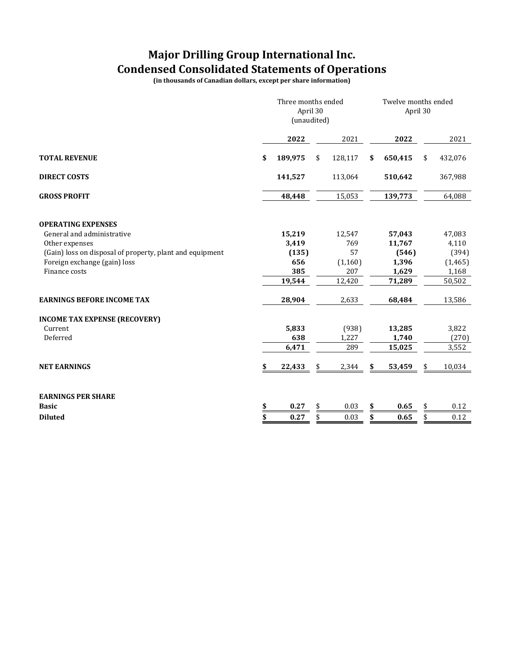### **Major Drilling Group International Inc. Condensed Consolidated Statements of Operations**

**(in thousands of Canadian dollars, except per share information)**

|                                                          | Three months ended<br>April 30<br>(unaudited) |         |    |         |    | Twelve months ended<br>April 30 |    |          |  |
|----------------------------------------------------------|-----------------------------------------------|---------|----|---------|----|---------------------------------|----|----------|--|
|                                                          |                                               | 2022    |    | 2021    |    | 2022                            |    | 2021     |  |
| <b>TOTAL REVENUE</b>                                     | \$                                            | 189,975 | \$ | 128,117 | \$ | 650,415                         | \$ | 432,076  |  |
| <b>DIRECT COSTS</b>                                      |                                               | 141,527 |    | 113,064 |    | 510,642                         |    | 367,988  |  |
| <b>GROSS PROFIT</b>                                      |                                               | 48,448  |    | 15,053  |    | 139,773                         |    | 64,088   |  |
| <b>OPERATING EXPENSES</b>                                |                                               |         |    |         |    |                                 |    |          |  |
| General and administrative                               |                                               | 15,219  |    | 12,547  |    | 57,043                          |    | 47,083   |  |
| Other expenses                                           |                                               | 3,419   |    | 769     |    | 11,767                          |    | 4,110    |  |
| (Gain) loss on disposal of property, plant and equipment |                                               | (135)   |    | 57      |    | (546)                           |    | (394)    |  |
| Foreign exchange (gain) loss                             |                                               | 656     |    | (1,160) |    | 1,396                           |    | (1, 465) |  |
| Finance costs                                            |                                               | 385     |    | 207     |    | 1,629                           |    | 1,168    |  |
|                                                          |                                               | 19,544  |    | 12,420  |    | 71,289                          |    | 50,502   |  |
| <b>EARNINGS BEFORE INCOME TAX</b>                        |                                               | 28,904  |    | 2,633   |    | 68,484                          |    | 13,586   |  |
| <b>INCOME TAX EXPENSE (RECOVERY)</b>                     |                                               |         |    |         |    |                                 |    |          |  |
| Current                                                  |                                               | 5,833   |    | (938)   |    | 13,285                          |    | 3,822    |  |
| Deferred                                                 |                                               | 638     |    | 1,227   |    | 1,740                           |    | (270)    |  |
|                                                          |                                               | 6,471   |    | 289     |    | 15,025                          |    | 3,552    |  |
| <b>NET EARNINGS</b>                                      | \$                                            | 22,433  | \$ | 2,344   | S  | 53,459                          |    | 10,034   |  |
| <b>EARNINGS PER SHARE</b>                                |                                               |         |    |         |    |                                 |    |          |  |
| <b>Basic</b>                                             | \$                                            | 0.27    | \$ | 0.03    | \$ | 0.65                            | \$ | 0.12     |  |
| <b>Diluted</b>                                           | \$                                            | 0.27    | \$ | 0.03    | \$ | 0.65                            |    | 0.12     |  |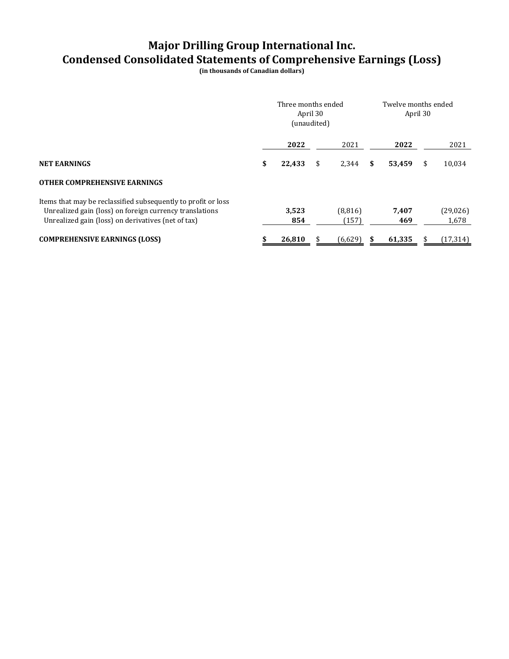# **Major Drilling Group International Inc. Condensed Consolidated Statements of Comprehensive Earnings (Loss)**

**(in thousands of Canadian dollars)**

|                                                                                                                                                                                | Three months ended<br>(unaudited) | April 30 |                  | Twelve months ended<br>April 30 |              |   |                    |  |
|--------------------------------------------------------------------------------------------------------------------------------------------------------------------------------|-----------------------------------|----------|------------------|---------------------------------|--------------|---|--------------------|--|
|                                                                                                                                                                                | 2022                              |          | 2021             |                                 | 2022         |   | 2021               |  |
| <b>NET EARNINGS</b>                                                                                                                                                            | \$<br>22,433                      | \$       | 2,344            | \$                              | 53,459       | S | 10,034             |  |
| <b>OTHER COMPREHENSIVE EARNINGS</b>                                                                                                                                            |                                   |          |                  |                                 |              |   |                    |  |
| Items that may be reclassified subsequently to profit or loss<br>Unrealized gain (loss) on foreign currency translations<br>Unrealized gain (loss) on derivatives (net of tax) | 3,523<br>854                      |          | (8,816)<br>(157) |                                 | 7,407<br>469 |   | (29, 026)<br>1,678 |  |
| <b>COMPREHENSIVE EARNINGS (LOSS)</b>                                                                                                                                           | 26.810                            |          | (6,629)          |                                 | 61,335       |   | (17, 314)          |  |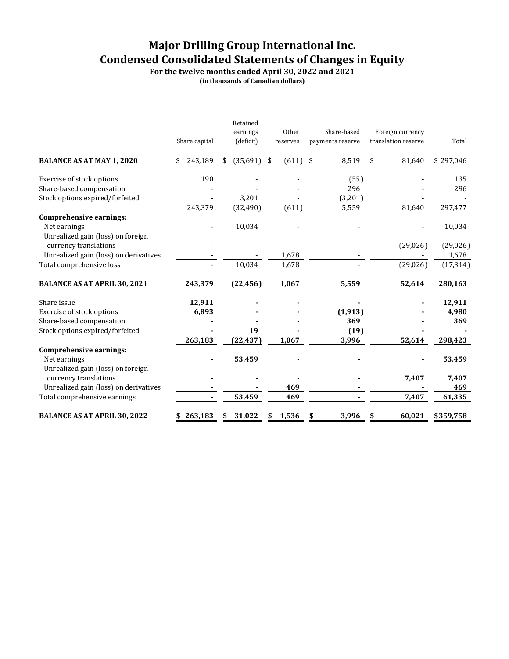# **Major Drilling Group International Inc. Condensed Consolidated Statements of Changes in Equity**

**For the twelve months ended April 30, 2022 and 2021**

**(in thousands of Canadian dollars)**

|                                                   | Share capital |    | Retained<br>earnings<br>(deficit) | Other<br>reserves | Share-based<br>payments reserve | Foreign currency<br>translation reserve | Total     |
|---------------------------------------------------|---------------|----|-----------------------------------|-------------------|---------------------------------|-----------------------------------------|-----------|
| <b>BALANCE AS AT MAY 1, 2020</b>                  | 243,189<br>\$ | \$ | $(35,691)$ \$                     | $(611)$ \$        | 8,519                           | \$<br>81,640                            | \$297,046 |
| Exercise of stock options                         | 190           |    |                                   |                   | (55)                            |                                         | 135       |
| Share-based compensation                          |               |    |                                   |                   | 296                             |                                         | 296       |
| Stock options expired/forfeited                   |               |    | 3,201                             |                   | (3,201)                         |                                         |           |
|                                                   | 243,379       |    | (32, 490)                         | (611)             | 5,559                           | 81,640                                  | 297,477   |
| <b>Comprehensive earnings:</b>                    |               |    |                                   |                   |                                 |                                         |           |
| Net earnings                                      |               |    | 10,034                            |                   |                                 |                                         | 10,034    |
| Unrealized gain (loss) on foreign                 |               |    |                                   |                   |                                 |                                         |           |
| currency translations                             |               |    |                                   |                   |                                 | (29, 026)                               | (29, 026) |
| Unrealized gain (loss) on derivatives             |               |    |                                   | 1,678             |                                 |                                         | 1,678     |
| Total comprehensive loss                          |               |    | 10,034                            | 1,678             |                                 | (29, 026)                               | (17, 314) |
| <b>BALANCE AS AT APRIL 30, 2021</b>               | 243,379       |    | (22, 456)                         | 1,067             | 5,559                           | 52,614                                  | 280,163   |
| Share issue                                       | 12,911        |    |                                   |                   |                                 |                                         | 12,911    |
| Exercise of stock options                         | 6,893         |    |                                   |                   | (1, 913)                        |                                         | 4,980     |
| Share-based compensation                          |               |    |                                   |                   | 369                             |                                         | 369       |
| Stock options expired/forfeited                   |               |    | 19                                |                   | (19)                            |                                         |           |
|                                                   | 263,183       |    | (22, 437)                         | 1,067             | 3,996                           | 52,614                                  | 298,423   |
| Comprehensive earnings:                           |               |    |                                   |                   |                                 |                                         |           |
| Net earnings<br>Unrealized gain (loss) on foreign |               |    | 53,459                            |                   |                                 |                                         | 53,459    |
| currency translations                             |               |    |                                   |                   |                                 | 7,407                                   | 7,407     |
| Unrealized gain (loss) on derivatives             |               |    |                                   | 469               |                                 |                                         | 469       |
| Total comprehensive earnings                      |               |    | 53,459                            | 469               |                                 | 7,407                                   | 61,335    |
| <b>BALANCE AS AT APRIL 30, 2022</b>               | 263,183<br>\$ | S  | 31,022                            | \$<br>1,536       | \$<br>3,996                     | \$<br>60,021                            | \$359,758 |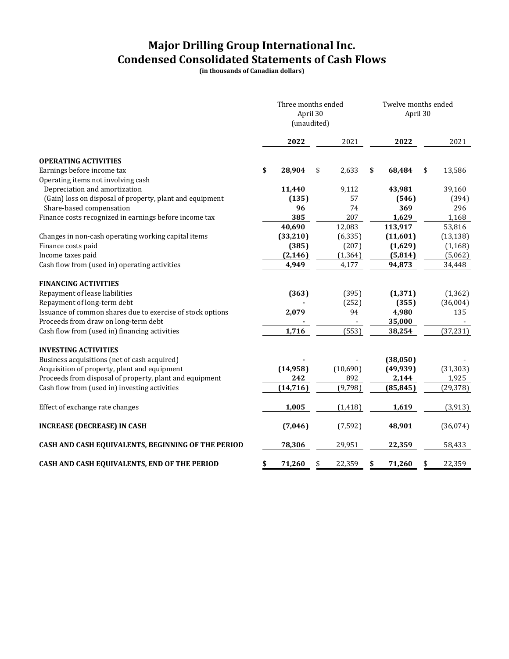# **Major Drilling Group International Inc. Condensed Consolidated Statements of Cash Flows**

**(in thousands of Canadian dollars)**

|                                                            | Three months ended<br>April 30<br>(unaudited) |              | Twelve months ended<br>April 30 |              |  |  |  |
|------------------------------------------------------------|-----------------------------------------------|--------------|---------------------------------|--------------|--|--|--|
|                                                            | 2022                                          | 2021         | 2022                            | 2021         |  |  |  |
| <b>OPERATING ACTIVITIES</b>                                |                                               |              |                                 |              |  |  |  |
| Earnings before income tax                                 | \$<br>28,904                                  | 2,633<br>\$  | \$<br>68,484                    | \$<br>13,586 |  |  |  |
| Operating items not involving cash                         |                                               |              |                                 |              |  |  |  |
| Depreciation and amortization                              | 11,440                                        | 9,112        | 43,981                          | 39,160       |  |  |  |
| (Gain) loss on disposal of property, plant and equipment   | (135)                                         | 57           | (546)                           | (394)        |  |  |  |
| Share-based compensation                                   | 96                                            | 74           | 369                             | 296          |  |  |  |
| Finance costs recognized in earnings before income tax     | 385                                           | 207          | 1,629                           | 1,168        |  |  |  |
|                                                            | 40,690                                        | 12,083       | 113,917                         | 53,816       |  |  |  |
| Changes in non-cash operating working capital items        | (33,210)                                      | (6, 335)     | (11,601)                        | (13, 138)    |  |  |  |
| Finance costs paid                                         | (385)                                         | (207)        | (1,629)                         | (1, 168)     |  |  |  |
| Income taxes paid                                          | (2, 146)                                      | (1, 364)     | (5, 814)                        | (5,062)      |  |  |  |
| Cash flow from (used in) operating activities              | 4,949                                         | 4,177        | 94,873                          | 34,448       |  |  |  |
|                                                            |                                               |              |                                 |              |  |  |  |
| <b>FINANCING ACTIVITIES</b>                                |                                               |              |                                 |              |  |  |  |
| Repayment of lease liabilities                             | (363)                                         | (395)        | (1, 371)                        | (1, 362)     |  |  |  |
| Repayment of long-term debt                                |                                               | (252)        | (355)                           | (36,004)     |  |  |  |
| Issuance of common shares due to exercise of stock options | 2,079                                         | 94           | 4,980                           | 135          |  |  |  |
| Proceeds from draw on long-term debt                       |                                               |              | 35,000                          |              |  |  |  |
| Cash flow from (used in) financing activities              | 1,716                                         | (553)        | 38,254                          | (37, 231)    |  |  |  |
| <b>INVESTING ACTIVITIES</b>                                |                                               |              |                                 |              |  |  |  |
| Business acquisitions (net of cash acquired)               |                                               |              | (38,050)                        |              |  |  |  |
| Acquisition of property, plant and equipment               | (14, 958)                                     | (10,690)     | (49, 939)                       | (31, 303)    |  |  |  |
| Proceeds from disposal of property, plant and equipment    | 242                                           | 892          | 2,144                           | 1,925        |  |  |  |
| Cash flow from (used in) investing activities              | (14, 716)                                     | (9,798)      | (85, 845)                       | (29, 378)    |  |  |  |
|                                                            |                                               |              |                                 |              |  |  |  |
| Effect of exchange rate changes                            | 1,005                                         | (1, 418)     | 1,619                           | (3, 913)     |  |  |  |
| <b>INCREASE (DECREASE) IN CASH</b>                         | (7,046)                                       | (7, 592)     | 48,901                          | (36,074)     |  |  |  |
| CASH AND CASH EQUIVALENTS, BEGINNING OF THE PERIOD         | 78,306                                        | 29,951       | 22,359                          | 58,433       |  |  |  |
| CASH AND CASH EQUIVALENTS, END OF THE PERIOD               | \$<br>71,260                                  | 22,359<br>\$ | 71,260<br>\$                    | 22,359<br>\$ |  |  |  |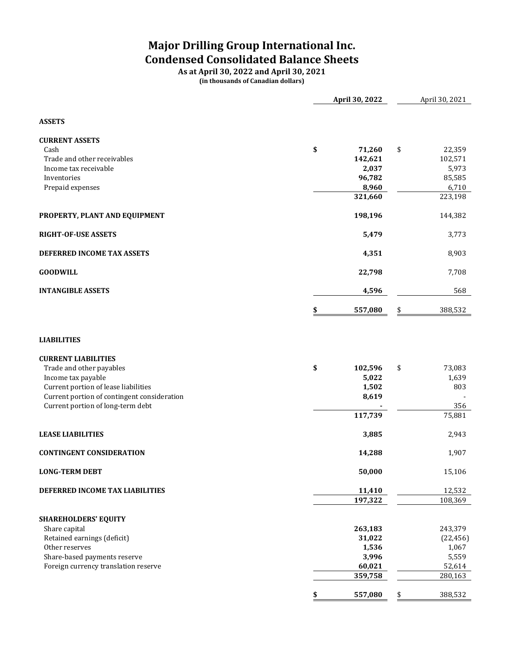# **Major Drilling Group International Inc. Condensed Consolidated Balance Sheets**

**As at April 30, 2022 and April 30, 2021 (in thousands of Canadian dollars)**

|                                                                                     | April 30, 2022    | April 30, 2021    |
|-------------------------------------------------------------------------------------|-------------------|-------------------|
| <b>ASSETS</b>                                                                       |                   |                   |
| <b>CURRENT ASSETS</b>                                                               |                   |                   |
| Cash                                                                                | \$<br>71,260      | 22,359<br>\$      |
| Trade and other receivables                                                         | 142,621           | 102,571           |
| Income tax receivable<br>Inventories                                                | 2,037<br>96,782   | 5,973<br>85,585   |
| Prepaid expenses                                                                    | 8,960             | 6,710             |
|                                                                                     | 321,660           | 223,198           |
| PROPERTY, PLANT AND EQUIPMENT                                                       | 198,196           | 144,382           |
| RIGHT-OF-USE ASSETS                                                                 | 5,479             | 3,773             |
| DEFERRED INCOME TAX ASSETS                                                          | 4,351             | 8,903             |
| <b>GOODWILL</b>                                                                     | 22,798            | 7,708             |
| <b>INTANGIBLE ASSETS</b>                                                            | 4,596             | 568               |
|                                                                                     | \$<br>557,080     | 388,532<br>\$     |
| <b>LIABILITIES</b>                                                                  |                   |                   |
| <b>CURRENT LIABILITIES</b>                                                          |                   |                   |
| Trade and other payables                                                            | \$<br>102,596     | 73,083<br>\$      |
| Income tax payable                                                                  | 5,022             | 1,639             |
| Current portion of lease liabilities<br>Current portion of contingent consideration | 1,502<br>8,619    | 803               |
| Current portion of long-term debt                                                   |                   | 356               |
|                                                                                     | 117,739           | 75,881            |
| <b>LEASE LIABILITIES</b>                                                            | 3,885             | 2,943             |
| <b>CONTINGENT CONSIDERATION</b>                                                     | 14,288            | 1,907             |
| <b>LONG-TERM DEBT</b>                                                               | 50,000            | 15,106            |
| DEFERRED INCOME TAX LIABILITIES                                                     | 11,410            | 12,532            |
|                                                                                     | 197,322           | 108,369           |
| SHAREHOLDERS' EQUITY                                                                |                   |                   |
| Share capital                                                                       | 263,183           | 243,379           |
| Retained earnings (deficit)                                                         | 31,022            | (22, 456)         |
| Other reserves                                                                      | 1,536             | 1,067             |
| Share-based payments reserve<br>Foreign currency translation reserve                | 3,996             | 5,559             |
|                                                                                     | 60,021<br>359,758 | 52,614<br>280,163 |
|                                                                                     |                   |                   |
|                                                                                     | 557,080           | 388,532           |